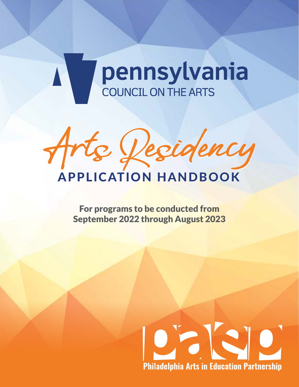# A Dennsylvania



For programs to be conducted from September 2022 through August 2023

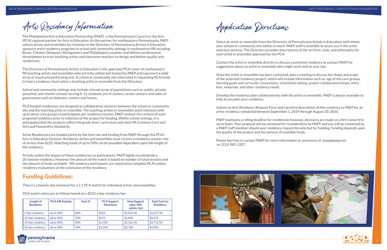

Arts Residency Information

The Philadelphia Arts in Education Partnership (PAEP) is the Pennsylvania Council on the Arts (PCA) regional partner for Arts in Education. As the partner for southeastern Pennsylvania, PAEP selects artists and ensembles for inclusion in the Directory of Pennsylvania Artists in Education, sponsors artist residency programs in school and community settings in southeastern PA including Bucks, Chester, Delaware, Montgomery and Philadelphia counties, and delivers professional development to train teaching artists and classroom teachers to design and deliver quality arts residencies.

The Directory of Pennsylvania Artists in Education is the approved PCA roster of southeastern PA teaching artists and ensembles who are fully vetted and trained by PAEP and represent a wide array of visual and performing arts. A school or community site interested in requesting PCA funds to host a residency must select a teaching artist or ensemble from the Directory.

School and community settings may include a broad array of populations such as: public, private, parochial, and charter schools serving K-12 students; pre-K centers; senior centers; and units of government such as Veterans' centers and homes.

PCA funded residencies are designed as collaborative ventures between the school or community site and the teaching artist or ensemble. The teaching artists or ensembles work intensely with up to three core groups of participants per residency session. PAEP reviews the content of each proposed residency prior to selection of the project for funding. Within school settings, it is anticipated that the projects reflect the grade level curriculum and meet PA Common Core and Arts and Humanities Standards.

Artist Residencies are funded jointly by the host site and funding from PAEP through the PCA's Arts in Education Division. Residency artists and ensembles must receive a residency session rate of no less than \$225. Matching funds of up to 50% can be provided dependent upon the length of the residency.

To fully realize the impact of these residencies on participants, PAEP highly recommends a 20-session residency. However the amount of the match is based on number of total sessions and the amount of funds available. \*All residency participants are required to complete PCA's online residency evaluations at the conclusion of the residency.

## Funding Guidelines:

There is a twenty-day minimum for a 1:1 PCA match for individual artists and ensembles.

PCA match ratios are as follows based on a \$225 a day residency fee:

| Length of<br><b>Residency</b> | <b>PCA AIR Subsidy</b> | Host % | <b>PCA Support</b><br><b>Maximum</b> | <b>Host Support</b><br>$(plus 10\%$<br>admin. fee) | <b>Total Cost for</b><br><b>Residency</b> |
|-------------------------------|------------------------|--------|--------------------------------------|----------------------------------------------------|-------------------------------------------|
| 5-day residency               | Up to 20%              | 80%    | \$225                                | \$1.012.50                                         | \$1,237.50                                |
| 10-day residnecy              | Up to $30\%$           | 70%    | \$675                                | \$1,800                                            | \$2,475                                   |
| 15-day residency              | Up to $40\%$           | 60%    | \$1,350                              | \$2,362.50                                         | \$3,712.50                                |
| 20-day residency              | Up to $50\%$           | 50%    | \$2,250                              | \$2,700                                            | \$4,950                                   |

Application Directions

Select an artist or ensemble from the Directory of Pennsylvania Artists in Education with whom your school or community site wishes to work. PAEP staff is available to assist you in the artist selection process. The Directory provides descriptions of the art form, style, and philosophy for each artist or ensemble approved by the PCA.

Contact the artist or ensemble directly to discuss a potential residency or contact PAEP for suggestions about an artist or ensemble who might work well at your site.

Once the artist or ensemble has been contacted, plan a meeting to discuss the shape and scope of the potential residency project, which will include information such as: age of the core groups, learning goals and curricular connections, school/site setting, project collaborators/team, artist fees, materials, and other residency needs.

Develop the residency plan collaboratively with the artist or ensemble. PAEP is always available to help as you plan your residency.

Submit an Arts Residency Request Form and narrative description of the residency to PAEP for an artist residency scheduled between September 1, 2019 through August 20, 2020.

PAEP maintains a rolling deadline for residencies however, decisions are made on a first-come firstserve basis. Your proposal will be reviewed for consideration by PAEP, and you will be contacted by a PAEP staff member should your residency request be selected for funding. Funding depends upon the quality of the project and the amount of available funds.

Please feel free to contact PAEP for more information or assistance at: paep@paep.net or (215) 982-1207.



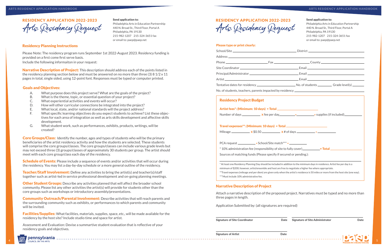4 4 5

#### Residency Planning Instructions

Please Note: The residency program runs September 1st 2022-August 2023. Residency funding is provided on a first come first serve basis. Include the following informaiton in your request:

Narrative Description of Project: This description should address each of the points listed in the residency planning section below and must be answered on no more than three (3) 8 1/2 x 11 pages in total, single sided, using 12-point font. Responses must be typed or computer printed.

**Core Groups/Class:** Identify the number, ages and types of students who will be the primary beneficiaries of the artist residency activity and how the students are selected. These students will comprise the core groups/classes. The core groups/classes can include various grade levels but may not exceed three (3) groups/classes of approximately 30 students per group. The artist should meet with each core group/class each day of the residency.

- A. What purpose does this project serve? What are the goals of the project?
- B. What is the theme, topic, or essential question of your project?
- C. What experiential activities and events will occur?
- D. How will other curricular connections be integrated into the project?
- E. What local, state, and/or national standards will the project address?
- F. What specific learning objectives do you expect students to achieve? List these objectives for each area of integration as well as arts skills development and affective skills development.
- G. What student work, such as performances, exhibits, products, writings, will be created?

**Schedule of Events:** Please include a sequence of events and/or activities that will occur during the residency. You may list a day-by-day schedule or a more general outline of the residency.

**Teacher/Staff Involvement:** Define any activities to bring the artist(s) and teacher(s)/staff together such as artist-led in service professional development and on-going planning meetings.

**Other Student Groups:** Describe any activities planned that will affect the broader school community. Please list any other activities the artist(s) will provide for students other than the core groups such as workshops or introductory assembly/presentations.

**Facilities/Supplies:** What facilities, materials, supplies, space, etc., will be made available for the residency by the host site? Include studio time and space for artist.

Community Outreach/Parental Involvement: Describe activities that will reach parents and the surrounding community such as exhibits, or performances to which parents and community will be invited.

Assessment and Evaluation: Devise a summartive student evaluation that is reflective of your residency goals and objectives.



#### Goals and Objectives:

RESIDENCY APPLICATION 2022-2023 Arts Residency Request

Send application to:

Philadelphia Arts in Education Partnership 440 N. Broad St., Third Floor, Portal A

Philadelphia, PA 19130

215-982-1207 215-324-3651 fax or email to: paep@paep.net

#### Please type or print clearly:

# Artist fees\*: (Minimum: 10 days) = Total

|                                                                    | or email to: paep@paep.net                                                                       |  |
|--------------------------------------------------------------------|--------------------------------------------------------------------------------------------------|--|
|                                                                    |                                                                                                  |  |
|                                                                    |                                                                                                  |  |
|                                                                    |                                                                                                  |  |
|                                                                    |                                                                                                  |  |
|                                                                    |                                                                                                  |  |
|                                                                    |                                                                                                  |  |
|                                                                    |                                                                                                  |  |
|                                                                    |                                                                                                  |  |
|                                                                    | Travel expenses**: (Minimum: 10 days) = Total $\frac{1}{2}$<br>Mileage $x $0.50$ $x # of days$ = |  |
| PCA request _______________ + School/Site match*** = _____________ |                                                                                                  |  |
|                                                                    | *10% administration fee (responsibility of site to fully cover)<br>Total                         |  |
|                                                                    |                                                                                                  |  |
|                                                                    | <b>Residency Project Budget</b>                                                                  |  |

#### Narrative Description of Project

### Attach a narrative description of the proposed project. Narratives must be typed and no more than



three pages in length.

Application Submitted by: (all signatures are required)

Signature of Site Coordinator Date Signature of Site Administrator Date

Signature of Artist **Date** 

\*\*\*Must include 10% administrative fee.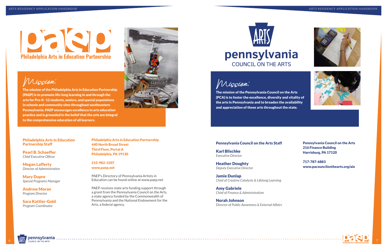# DECE **Philadelphia Arts in Education Partnership**









Philadelphia Arts in Education Partnership 440 North Broad Street Third Floor, Portal A Philadelphia, PA 19130

#### 215-982-1207 www.paep.net

PAEP's Directory of Pennsylvania Artists in Education can be found online at www.paep.net

PAEP receives state arts funding support through a grant from the Pennsylvania Council on the Arts, a state agency funded by the Commonwealth of Pennsylvania and the National Endowment for the Arts, a federal agency.



### Pennsylvania Council on the Arts Staff

Karl Blischke *Executive Director*

Heather Doughty *Deputy Executive Director*

Jamie Dunlap *Chief of Creative Catalysts & Lifelong Learning*

Amy Gabriele *Chief of Finance & Administratio*n

Norah Johnson *Director of Public Awareness & External Affairs*

Mission:

The mission of the Pennsylvania Council on the Arts (PCA) is to foster the excellence, diversity and vitality of the arts in Pennsylvania and to broaden the availability and appreciation of those arts throughout the state.

#### Philadelphia Arts in Education Partnership Staff

Pearl B. Schaeffer *Chief Executive Officer*

Megan Lafferty *Director of Administration*

Mary Dupre *Special Programs Manager*

Andrew Moran *Program Director*

Sara Kattler-Gold *Program Coordinator*

Pennsylvania Council on the Arts 216 Finance Building Harrisburg, PA 17120

717-787-6883 www.pacouncilonthearts.org/aie



Mission:

The mission of the Philadelphia Arts in Education Partnership (PAEP) is to promote life-long learning in and through the arts for Pre-K -12 students, seniors, and special populations in schools and community sites throughout southeastern Pennsylvania. PAEP encourages excellence in arts education practice and is grounded in the belief that the arts are integral to the comprehensive education of all learners.